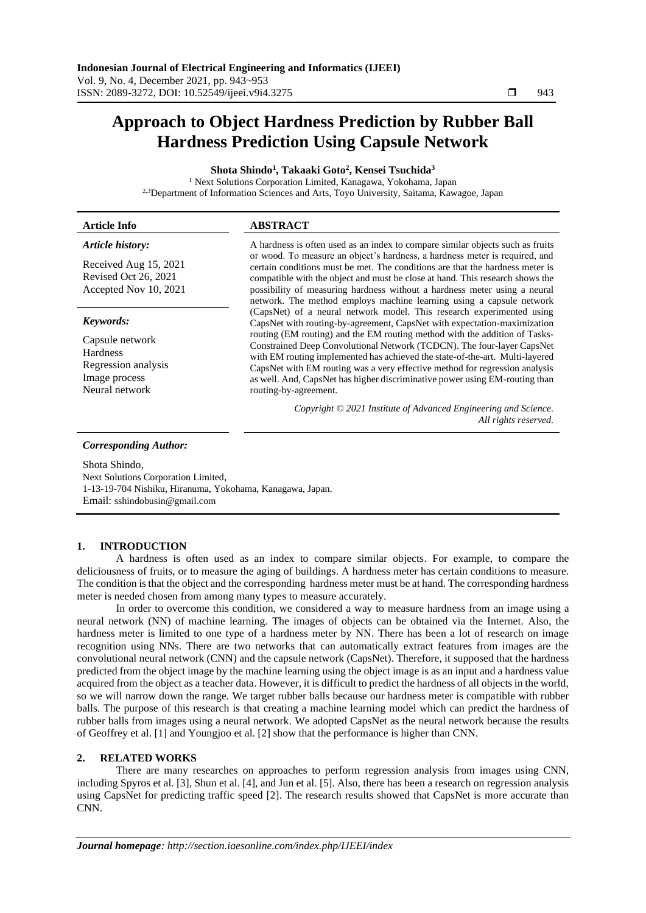# **Approach to Object Hardness Prediction by Rubber Ball Hardness Prediction Using Capsule Network**

**Shota Shindo<sup>1</sup> , Takaaki Goto<sup>2</sup> , Kensei Tsuchida<sup>3</sup>**

<sup>1</sup> Next Solutions Corporation Limited, Kanagawa, Yokohama, Japan <sup>2,3</sup>Department of Information Sciences and Arts, Toyo University, Saitama, Kawagoe, Japan

| <b>Article Info</b>                                                                          | <b>ABSTRACT</b>                                                                                                                                                                                                                                                                                                                                                                                                             |
|----------------------------------------------------------------------------------------------|-----------------------------------------------------------------------------------------------------------------------------------------------------------------------------------------------------------------------------------------------------------------------------------------------------------------------------------------------------------------------------------------------------------------------------|
| Article history:                                                                             | A hardness is often used as an index to compare similar objects such as fruits                                                                                                                                                                                                                                                                                                                                              |
| Received Aug 15, 2021<br>Revised Oct 26, 2021<br>Accepted Nov 10, 2021                       | or wood. To measure an object's hardness, a hardness meter is required, and<br>certain conditions must be met. The conditions are that the hardness meter is<br>compatible with the object and must be close at hand. This research shows the<br>possibility of measuring hardness without a hardness meter using a neural<br>network. The method employs machine learning using a capsule network                          |
| Keywords:                                                                                    | (CapsNet) of a neural network model. This research experimented using<br>CapsNet with routing-by-agreement, CapsNet with expectation-maximization                                                                                                                                                                                                                                                                           |
| Capsule network<br><b>Hardness</b><br>Regression analysis<br>Image process<br>Neural network | routing (EM routing) and the EM routing method with the addition of Tasks-<br>Constrained Deep Convolutional Network (TCDCN). The four-layer CapsNet<br>with EM routing implemented has achieved the state-of-the-art. Multi-layered<br>CapsNet with EM routing was a very effective method for regression analysis<br>as well. And, CapsNet has higher discriminative power using EM-routing than<br>routing-by-agreement. |
|                                                                                              | Copyright © 2021 Institute of Advanced Engineering and Science.                                                                                                                                                                                                                                                                                                                                                             |

*All rights reserved.*

### *Corresponding Author:*

Shota Shindo, Next Solutions Corporation Limited, 1-13-19-704 Nishiku, Hiranuma, Yokohama, Kanagawa, Japan. Email: sshindobusin@gmail.com

#### **1. INTRODUCTION**

A hardness is often used as an index to compare similar objects. For example, to compare the deliciousness of fruits, or to measure the aging of buildings. A hardness meter has certain conditions to measure. The condition is that the object and the corresponding hardness meter must be at hand. The corresponding hardness meter is needed chosen from among many types to measure accurately.

In order to overcome this condition, we considered a way to measure hardness from an image using a neural network (NN) of machine learning. The images of objects can be obtained via the Internet. Also, the hardness meter is limited to one type of a hardness meter by NN. There has been a lot of research on image recognition using NNs. There are two networks that can automatically extract features from images are the convolutional neural network (CNN) and the capsule network (CapsNet). Therefore, it supposed that the hardness predicted from the object image by the machine learning using the object image is as an input and a hardness value acquired from the object as a teacher data. However, it is difficult to predict the hardness of all objects in the world, so we will narrow down the range. We target rubber balls because our hardness meter is compatible with rubber balls. The purpose of this research is that creating a machine learning model which can predict the hardness of rubber balls from images using a neural network. We adopted CapsNet as the neural network because the results of Geoffrey et al. [1] and Youngjoo et al. [2] show that the performance is higher than CNN.

# **2. RELATED WORKS**

There are many researches on approaches to perform regression analysis from images using CNN, including Spyros et al. [3], Shun et al. [4], and Jun et al. [5]. Also, there has been a research on regression analysis using CapsNet for predicting traffic speed [2]. The research results showed that CapsNet is more accurate than CNN.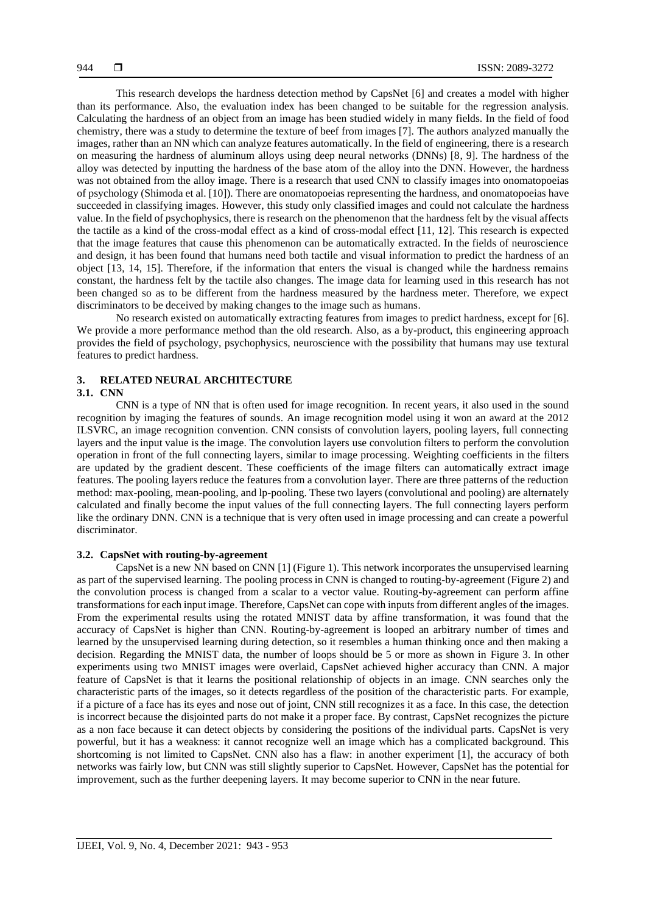This research develops the hardness detection method by CapsNet [6] and creates a model with higher than its performance. Also, the evaluation index has been changed to be suitable for the regression analysis. Calculating the hardness of an object from an image has been studied widely in many fields. In the field of food chemistry, there was a study to determine the texture of beef from images [7]. The authors analyzed manually the images, rather than an NN which can analyze features automatically. In the field of engineering, there is a research on measuring the hardness of aluminum alloys using deep neural networks (DNNs) [8, 9]. The hardness of the alloy was detected by inputting the hardness of the base atom of the alloy into the DNN. However, the hardness was not obtained from the alloy image. There is a research that used CNN to classify images into onomatopoeias of psychology (Shimoda et al. [10]). There are onomatopoeias representing the hardness, and onomatopoeias have succeeded in classifying images. However, this study only classified images and could not calculate the hardness value. In the field of psychophysics, there is research on the phenomenon that the hardness felt by the visual affects the tactile as a kind of the cross-modal effect as a kind of cross-modal effect [11, 12]. This research is expected that the image features that cause this phenomenon can be automatically extracted. In the fields of neuroscience and design, it has been found that humans need both tactile and visual information to predict the hardness of an object [13, 14, 15]. Therefore, if the information that enters the visual is changed while the hardness remains constant, the hardness felt by the tactile also changes. The image data for learning used in this research has not been changed so as to be different from the hardness measured by the hardness meter. Therefore, we expect discriminators to be deceived by making changes to the image such as humans.

No research existed on automatically extracting features from images to predict hardness, except for [6]. We provide a more performance method than the old research. Also, as a by-product, this engineering approach provides the field of psychology, psychophysics, neuroscience with the possibility that humans may use textural features to predict hardness.

# **3. RELATED NEURAL ARCHITECTURE**

#### **3.1. CNN**

CNN is a type of NN that is often used for image recognition. In recent years, it also used in the sound recognition by imaging the features of sounds. An image recognition model using it won an award at the 2012 ILSVRC, an image recognition convention. CNN consists of convolution layers, pooling layers, full connecting layers and the input value is the image. The convolution layers use convolution filters to perform the convolution operation in front of the full connecting layers, similar to image processing. Weighting coefficients in the filters are updated by the gradient descent. These coefficients of the image filters can automatically extract image features. The pooling layers reduce the features from a convolution layer. There are three patterns of the reduction method: max-pooling, mean-pooling, and lp-pooling. These two layers (convolutional and pooling) are alternately calculated and finally become the input values of the full connecting layers. The full connecting layers perform like the ordinary DNN. CNN is a technique that is very often used in image processing and can create a powerful discriminator.

# **3.2. CapsNet with routing-by-agreement**

CapsNet is a new NN based on CNN [1] [\(Figure 1\)](#page-2-0). This network incorporates the unsupervised learning as part of the supervised learning. The pooling process in CNN is changed to routing-by-agreement [\(Figure 2\)](#page-2-1) and the convolution process is changed from a scalar to a vector value. Routing-by-agreement can perform affine transformations for each input image. Therefore, CapsNet can cope with inputs from different angles of the images. From the experimental results using the rotated MNIST data by affine transformation, it was found that the accuracy of CapsNet is higher than CNN. Routing-by-agreement is looped an arbitrary number of times and learned by the unsupervised learning during detection, so it resembles a human thinking once and then making a decision. Regarding the MNIST data, the number of loops should be 5 or more as shown in [Figure 3.](#page-2-2) In other experiments using two MNIST images were overlaid, CapsNet achieved higher accuracy than CNN. A major feature of CapsNet is that it learns the positional relationship of objects in an image. CNN searches only the characteristic parts of the images, so it detects regardless of the position of the characteristic parts. For example, if a picture of a face has its eyes and nose out of joint, CNN still recognizes it as a face. In this case, the detection is incorrect because the disjointed parts do not make it a proper face. By contrast, CapsNet recognizes the picture as a non face because it can detect objects by considering the positions of the individual parts. CapsNet is very powerful, but it has a weakness: it cannot recognize well an image which has a complicated background. This shortcoming is not limited to CapsNet. CNN also has a flaw: in another experiment [1], the accuracy of both networks was fairly low, but CNN was still slightly superior to CapsNet. However, CapsNet has the potential for improvement, such as the further deepening layers. It may become superior to CNN in the near future.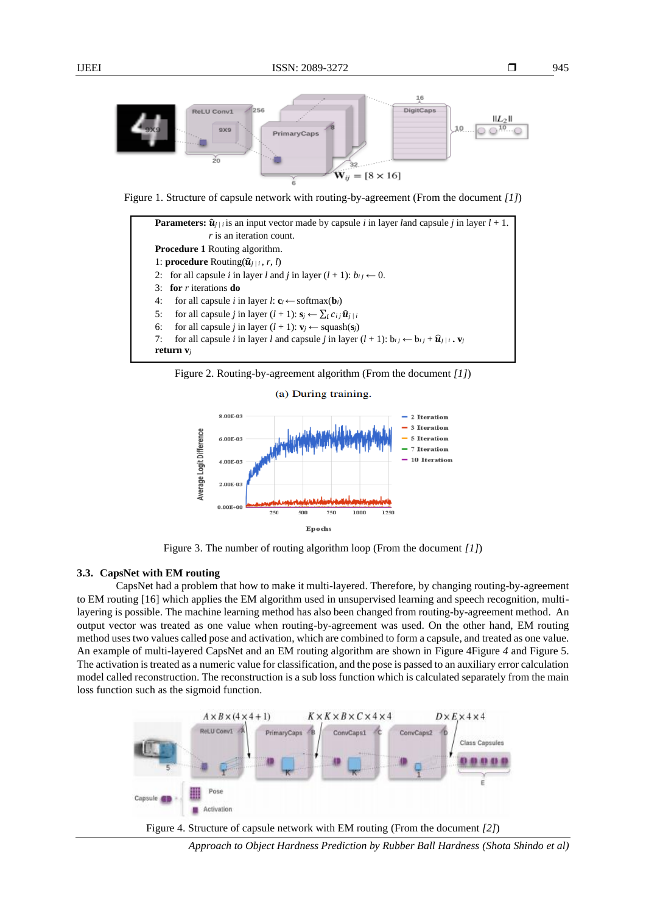

<span id="page-2-0"></span>Figure 1. Structure of capsule network with routing-by-agreement (From the document *[1]*)

|    | <b>Parameters:</b> $\hat{u}_{i/i}$ is an input vector made by capsule i in layer land capsule j in layer $l + 1$ . |
|----|--------------------------------------------------------------------------------------------------------------------|
|    | $r$ is an iteration count.                                                                                         |
|    | <b>Procedure 1</b> Routing algorithm.                                                                              |
|    | 1: <b>procedure</b> Routing( $\hat{u}_{i/i}$ , r, l)                                                               |
|    | 2: for all capsule i in layer l and j in layer $(l + 1)$ : $b_{ij} \leftarrow 0$ .                                 |
|    | 3: for r iterations do                                                                                             |
| 4: | for all capsule <i>i</i> in layer <i>l</i> : $c_i \leftarrow softmax(b_i)$                                         |
| 5: | for all capsule <i>i</i> in layer $(l + 1)$ : $\mathbf{s}_i \leftarrow \sum_i c_{i,i} \hat{\mathbf{u}}_{i/i}$      |
| 6: | for all capsule <i>j</i> in layer $(l + 1)$ : $\mathbf{v}_i \leftarrow$ squash $(\mathbf{s}_i)$                    |
| 7: | for all capsule i in layer l and capsule j in layer $(l + 1)$ : $b_{ij} \leftarrow b_{ij} + \hat{u}_{j/i}$ . $v_j$ |
|    | return $v_i$                                                                                                       |

<span id="page-2-1"></span>

(a) During training.



Figure 3. The number of routing algorithm loop (From the document *[1]*)

# <span id="page-2-2"></span>**3.3. CapsNet with EM routing**

CapsNet had a problem that how to make it multi-layered. Therefore, by changing routing-by-agreement to EM routing [16] which applies the EM algorithm used in unsupervised learning and speech recognition, multilayering is possible. The machine learning method has also been changed from routing-by-agreement method. An output vector was treated as one value when routing-by-agreement was used. On the other hand, EM routing method uses two values called pose and activation, which are combined to form a capsule, and treated as one value. An example of multi-layered CapsNet and an EM routing algorithm are shown in [Figure](#page-2-3) [4Figure](#page-2-3) *4* and [Figure 5.](#page-3-0) The activation is treated as a numeric value for classification, and the pose is passed to an auxiliary error calculation model called reconstruction. The reconstruction is a sub loss function which is calculated separately from the main loss function such as the sigmoid function.



<span id="page-2-3"></span>

*Approach to Object Hardness Prediction by Rubber Ball Hardness (Shota Shindo et al)*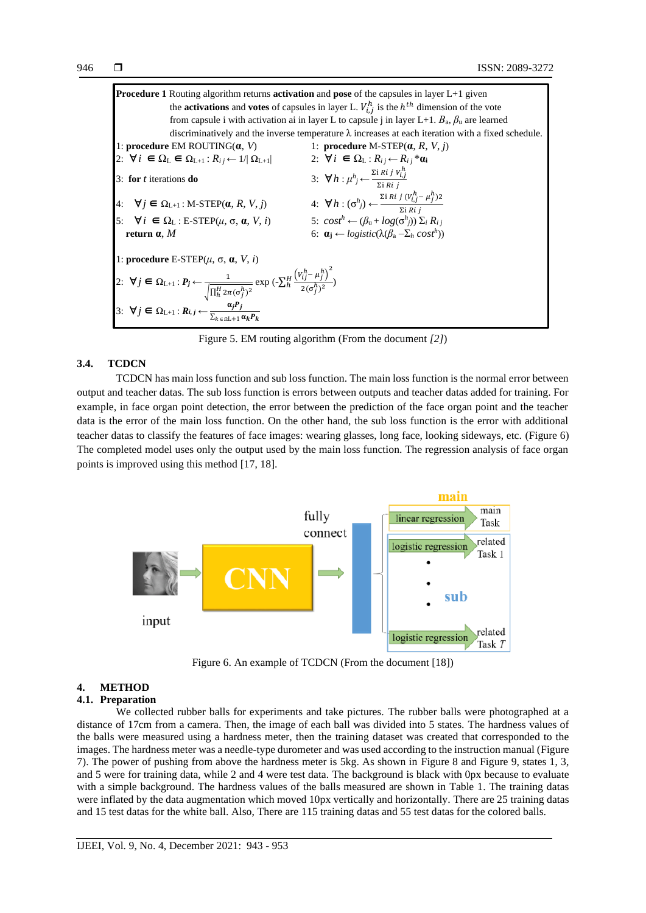

Figure 5. EM routing algorithm (From the document *[2]*)

# <span id="page-3-0"></span>**3.4. TCDCN**

TCDCN has main loss function and sub loss function. The main loss function is the normal error between output and teacher datas. The sub loss function is errors between outputs and teacher datas added for training. For example, in face organ point detection, the error between the prediction of the face organ point and the teacher data is the error of the main loss function. On the other hand, the sub loss function is the error with additional teacher datas to classify the features of face images: wearing glasses, long face, looking sideways, etc. [\(Figure 6\)](#page-3-1) The completed model uses only the output used by the main loss function. The regression analysis of face organ points is improved using this method [17, 18].



Figure 6. An example of TCDCN (From the document [18])

# <span id="page-3-1"></span>**4. METHOD**

# **4.1. Preparation**

We collected rubber balls for experiments and take pictures. The rubber balls were photographed at a distance of 17cm from a camera. Then, the image of each ball was divided into 5 states. The hardness values of the balls were measured using a hardness meter, then the training dataset was created that corresponded to the images. The hardness meter was a needle-type durometer and was used according to the instruction manual [\(Figure](#page-4-0)  [7\)](#page-4-0). The power of pushing from above the hardness meter is 5kg. As shown in [Figure 8](#page-4-1) and [Figure 9,](#page-4-2) states 1, 3, and 5 were for training data, while 2 and 4 were test data. The background is black with 0px because to evaluate with a simple background. The hardness values of the balls measured are shown in [Table 1.](#page-4-3) The training datas were inflated by the data augmentation which moved 10px vertically and horizontally. There are 25 training datas and 15 test datas for the white ball. Also, There are 115 training datas and 55 test datas for the colored balls.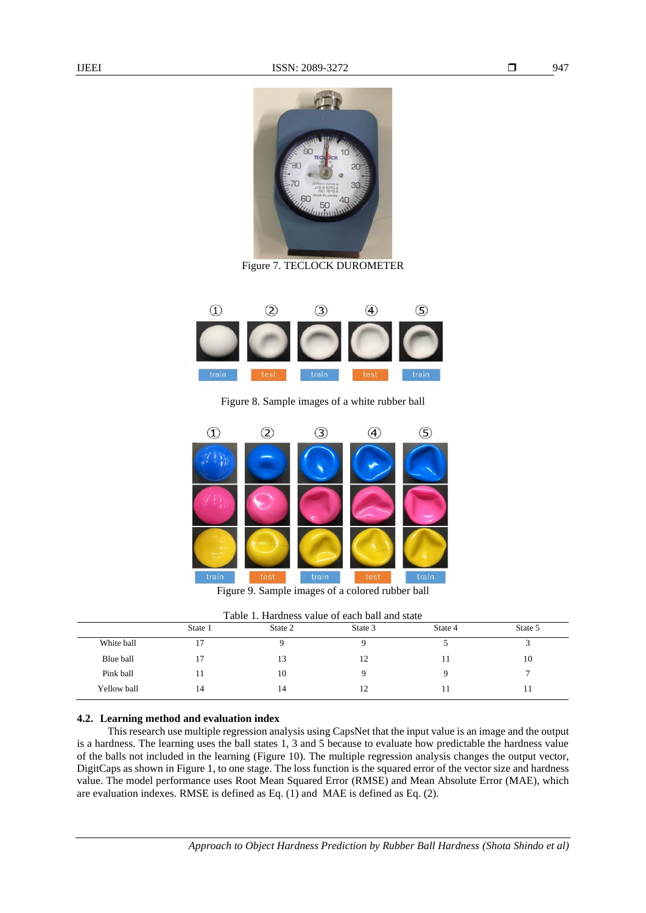

Figure 7. TECLOCK DUROMETER

<span id="page-4-0"></span>

Figure 8. Sample images of a white rubber ball

<span id="page-4-1"></span>

Figure 9. Sample images of a colored rubber ball

|  | Table 1. Hardness value of each ball and state |
|--|------------------------------------------------|
|--|------------------------------------------------|

<span id="page-4-3"></span><span id="page-4-2"></span>

| TWOTE TI TIME WILD UP I MENS OF BUSIL OMIL MILW DUNCE. |         |         |         |         |  |
|--------------------------------------------------------|---------|---------|---------|---------|--|
| State 1                                                | State 2 | State 3 | State 4 | State 5 |  |
|                                                        |         |         |         |         |  |
|                                                        | 13      | 12      |         | 10      |  |
|                                                        | 10      |         |         |         |  |
| 14                                                     | 14      |         |         |         |  |
|                                                        |         |         |         |         |  |

#### **4.2. Learning method and evaluation index**

This research use multiple regression analysis using CapsNet that the input value is an image and the output is a hardness. The learning uses the ball states 1, 3 and 5 because to evaluate how predictable the hardness value of the balls not included in the learning [\(Figure 10\)](#page-5-0). The multiple regression analysis changes the output vector, DigitCaps as shown i[n Figure 1,](#page-2-0) to one stage. The loss function is the squared error of the vector size and hardness value. The model performance uses Root Mean Squared Error (RMSE) and Mean Absolute Error (MAE), which are evaluation indexes. RMSE is defined as Eq. (1) and MAE is defined as Eq. (2).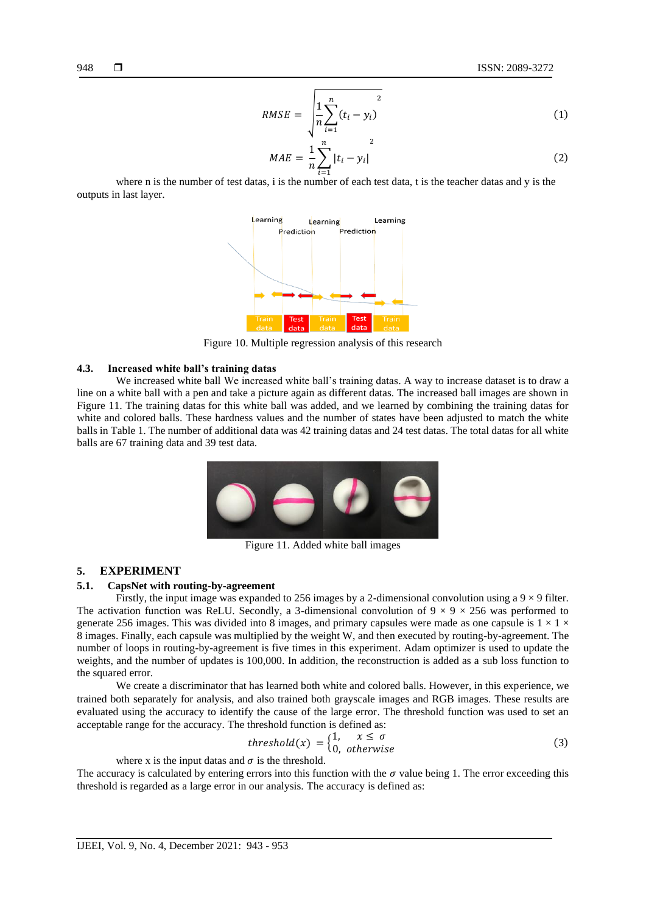$$
RMSE = \sqrt{\frac{1}{n} \sum_{i=1}^{n} (t_i - y_i)^2}
$$
 (1)

$$
MAE = \frac{1}{n} \sum_{i=1}^{n} |t_i - y_i|^{2}
$$
 (2)

where n is the number of test datas, i is the number of each test data, t is the teacher datas and y is the outputs in last layer.



Figure 10. Multiple regression analysis of this research

#### <span id="page-5-0"></span>**4.3. Increased white ball's training datas**

We increased white ball We increased white ball's training datas. A way to increase dataset is to draw a line on a white ball with a pen and take a picture again as different datas. The increased ball images are shown in [Figure 11.](#page-5-1) The training datas for this white ball was added, and we learned by combining the training datas for white and colored balls. These hardness values and the number of states have been adjusted to match the white balls in [Table 1.](#page-4-3) The number of additional data was 42 training datas and 24 test datas. The total datas for all white balls are 67 training data and 39 test data.



Figure 11. Added white ball images

#### <span id="page-5-1"></span>**5. EXPERIMENT**

#### **5.1. CapsNet with routing-by-agreement**

Firstly, the input image was expanded to 256 images by a 2-dimensional convolution using a  $9 \times 9$  filter. The activation function was ReLU. Secondly, a 3-dimensional convolution of  $9 \times 9 \times 256$  was performed to generate 256 images. This was divided into 8 images, and primary capsules were made as one capsule is  $1 \times 1 \times$ 8 images. Finally, each capsule was multiplied by the weight W, and then executed by routing-by-agreement. The number of loops in routing-by-agreement is five times in this experiment. Adam optimizer is used to update the weights, and the number of updates is 100,000. In addition, the reconstruction is added as a sub loss function to the squared error.

We create a discriminator that has learned both white and colored balls. However, in this experience, we trained both separately for analysis, and also trained both grayscale images and RGB images. These results are evaluated using the accuracy to identify the cause of the large error. The threshold function was used to set an acceptable range for the accuracy. The threshold function is defined as:

$$
threshold(x) = \begin{cases} 1, & x \le \sigma \\ 0, & otherwise \end{cases}
$$
 (3)

where x is the input datas and  $\sigma$  is the threshold.

The accuracy is calculated by entering errors into this function with the  $\sigma$  value being 1. The error exceeding this threshold is regarded as a large error in our analysis. The accuracy is defined as: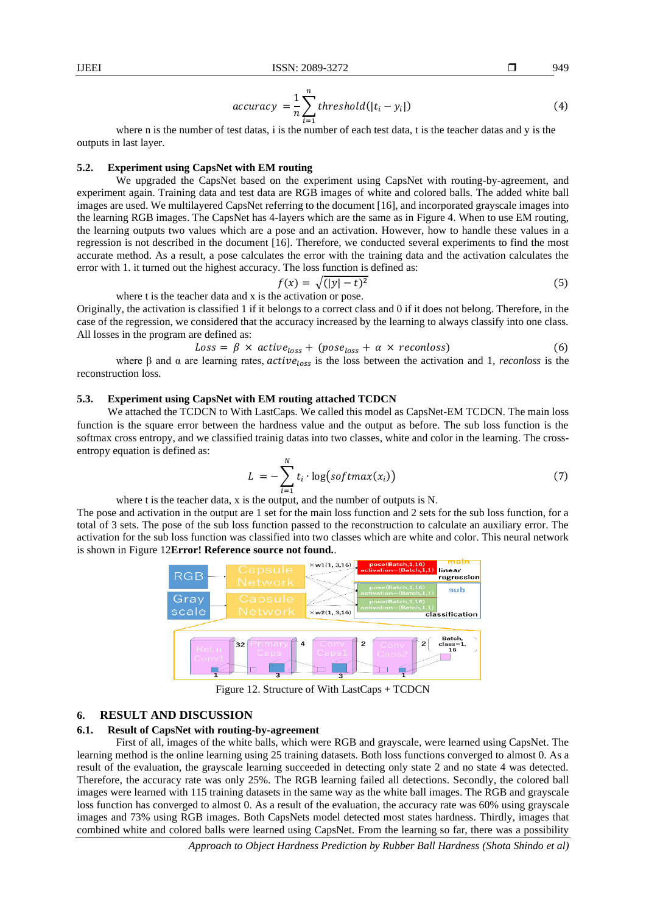*Approach to Object Hardness Prediction by Rubber Ball Hardness (Shota Shindo et al)*

$$
accuracy = \frac{1}{n} \sum_{i=1}^{n} threshold(|t_i - y_i|)
$$
\n(4)

where n is the number of test datas, i is the number of each test data, t is the teacher datas and y is the outputs in last layer.

#### **5.2. Experiment using CapsNet with EM routing**

We upgraded the CapsNet based on the experiment using CapsNet with routing-by-agreement, and experiment again. Training data and test data are RGB images of white and colored balls. The added white ball images are used. We multilayered CapsNet referring to the document [16], and incorporated grayscale images into the learning RGB images. The CapsNet has 4-layers which are the same as in [Figure](#page-2-3) 4. When to use EM routing, the learning outputs two values which are a pose and an activation. However, how to handle these values in a regression is not described in the document [16]. Therefore, we conducted several experiments to find the most accurate method. As a result, a pose calculates the error with the training data and the activation calculates the error with 1. it turned out the highest accuracy. The loss function is defined as:

$$
f(x) = \sqrt{(|y| - t)^2} \tag{5}
$$

where t is the teacher data and x is the activation or pose.

Originally, the activation is classified 1 if it belongs to a correct class and 0 if it does not belong. Therefore, in the case of the regression, we considered that the accuracy increased by the learning to always classify into one class. All losses in the program are defined as:

$$
Loss = \beta \times active_{loss} + (pose_{loss} + \alpha \times reconloss)
$$
 (6)

where  $\beta$  and  $\alpha$  are learning rates,  $active_{loss}$  is the loss between the activation and 1, *reconloss* is the reconstruction loss.

# **5.3. Experiment using CapsNet with EM routing attached TCDCN**

We attached the TCDCN to With LastCaps. We called this model as CapsNet-EM TCDCN. The main loss function is the square error between the hardness value and the output as before. The sub loss function is the softmax cross entropy, and we classified trainig datas into two classes, white and color in the learning. The crossentropy equation is defined as:

$$
L = -\sum_{i=1}^{N} t_i \cdot \log\big(softmax(x_i)\big) \tag{7}
$$

where t is the teacher data, x is the output, and the number of outputs is N.

The pose and activation in the output are 1 set for the main loss function and 2 sets for the sub loss function, for a total of 3 sets. The pose of the sub loss function passed to the reconstruction to calculate an auxiliary error. The activation for the sub loss function was classified into two classes which are white and color. This neural network is shown in [Figure 12](#page-6-0)**Error! Reference source not found.**.



Figure 12. Structure of With LastCaps + TCDCN

#### <span id="page-6-0"></span>**6. RESULT AND DISCUSSION**

# **6.1. Result of CapsNet with routing-by-agreement**

First of all, images of the white balls, which were RGB and grayscale, were learned using CapsNet. The learning method is the online learning using 25 training datasets. Both loss functions converged to almost 0. As a result of the evaluation, the grayscale learning succeeded in detecting only state 2 and no state 4 was detected. Therefore, the accuracy rate was only 25%. The RGB learning failed all detections. Secondly, the colored ball images were learned with 115 training datasets in the same way as the white ball images. The RGB and grayscale loss function has converged to almost 0. As a result of the evaluation, the accuracy rate was 60% using grayscale images and 73% using RGB images. Both CapsNets model detected most states hardness. Thirdly, images that combined white and colored balls were learned using CapsNet. From the learning so far, there was a possibility

$$
\frac{1}{2} \sum_{i=1}^n \frac{1}{2} \sum_{i=1}^n \frac{1}{2} \sum_{i=1}^n \frac{1}{2} \sum_{i=1}^n \frac{1}{2} \sum_{i=1}^n \frac{1}{2} \sum_{i=1}^n \frac{1}{2} \sum_{i=1}^n \frac{1}{2} \sum_{i=1}^n \frac{1}{2} \sum_{i=1}^n \frac{1}{2} \sum_{i=1}^n \frac{1}{2} \sum_{i=1}^n \frac{1}{2} \sum_{i=1}^n \frac{1}{2} \sum_{i=1}^n \frac{1}{2} \sum_{i=1}^n \frac{1}{2} \sum_{i=1}^n \frac{1}{2} \sum_{i=1}^n \frac{1}{2} \sum_{i=1}^n \frac{1}{2} \sum_{i=1}^n \frac{1}{2} \sum_{i=1}^n \frac{1}{2} \sum_{i=1}^n \frac{1}{2} \sum_{i=1}^n \frac{1}{2} \sum_{i=1}^n \frac{1}{2} \sum_{i=1}^n \frac{1}{2} \sum_{i=1}^n \frac{1}{2} \sum_{i=1}^n \frac{1}{2} \sum_{i=1}^n \frac{1}{2} \sum_{i=1}^n \frac{1}{2} \sum_{i=1}^n \frac{1}{2} \sum_{i=1}^n \frac{1}{2} \sum_{i=1}^n \frac{1}{2} \sum_{i=1}^n \frac{1}{2} \sum_{i=1}^n \frac{1}{2} \sum_{i=1}^n \frac{1}{2} \sum_{i=1}^n \frac{1}{2} \sum_{i=1}^n \frac{1}{2} \sum_{i=1}^n \frac{1}{2} \sum_{i=1}^n \frac{1}{2} \sum_{i=1}^n \frac{1}{2} \sum_{i=1}^n \frac{1}{2} \sum_{i=1}^n \frac{1}{2} \sum_{i=1}^n \frac{1}{2} \sum_{i=1}^n \frac{1}{2} \sum_{i=1}^n \frac{1}{2} \sum_{i=1}^n \frac{1}{2} \sum_{i=1}^n \frac{1}{2} \sum_{i=1}^n \frac{1}{2} \sum_{i=1}^n \frac{1}{2} \
$$

949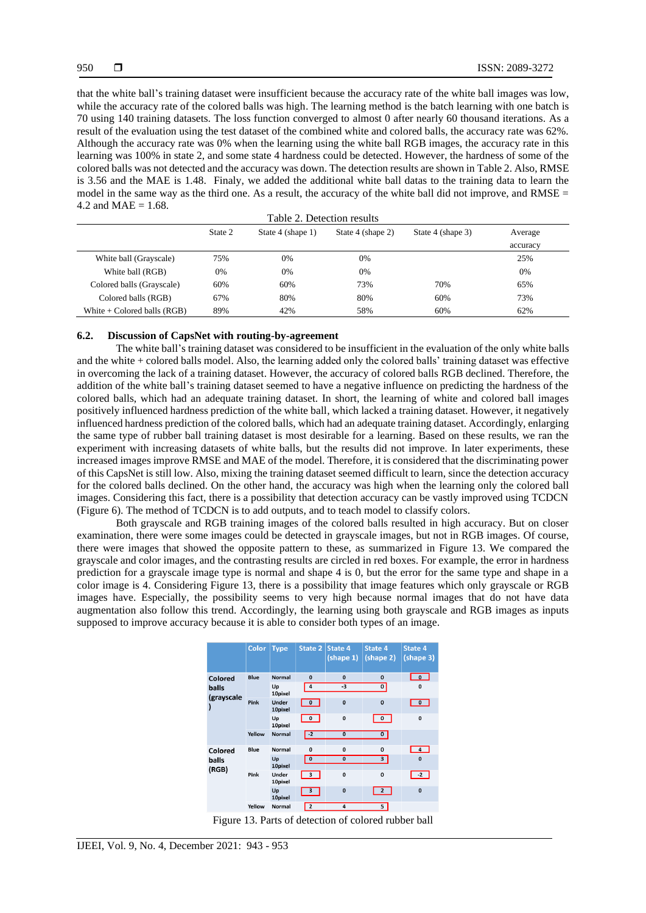that the white ball's training dataset were insufficient because the accuracy rate of the white ball images was low, while the accuracy rate of the colored balls was high. The learning method is the batch learning with one batch is 70 using 140 training datasets. The loss function converged to almost 0 after nearly 60 thousand iterations. As a result of the evaluation using the test dataset of the combined white and colored balls, the accuracy rate was 62%. Although the accuracy rate was 0% when the learning using the white ball RGB images, the accuracy rate in this learning was 100% in state 2, and some state 4 hardness could be detected. However, the hardness of some of the colored balls was not detected and the accuracy was down. The detection results are shown i[n Table 2.](#page-7-0) Also, RMSE is 3.56 and the MAE is 1.48. Finaly, we added the additional white ball datas to the training data to learn the model in the same way as the third one. As a result, the accuracy of the white ball did not improve, and RMSE  $=$ 4.2 and  $MAE = 1.68$ .

<span id="page-7-0"></span>

| Table 2. Detection results    |         |                   |                   |                   |          |
|-------------------------------|---------|-------------------|-------------------|-------------------|----------|
|                               | State 2 | State 4 (shape 1) | State 4 (shape 2) | State 4 (shape 3) | Average  |
|                               |         |                   |                   |                   | accuracy |
| White ball (Grayscale)        | 75%     | 0%                | 0%                |                   | 25%      |
| White ball (RGB)              | 0%      | 0%                | 0%                |                   | 0%       |
| Colored balls (Grayscale)     | 60%     | 60%               | 73%               | 70%               | 65%      |
| Colored balls (RGB)           | 67%     | 80%               | 80%               | 60%               | 73%      |
| White $+$ Colored balls (RGB) | 89%     | 42%               | 58%               | 60%               | 62%      |

#### **6.2. Discussion of CapsNet with routing-by-agreement**

The white ball's training dataset was considered to be insufficient in the evaluation of the only white balls and the white + colored balls model. Also, the learning added only the colored balls' training dataset was effective in overcoming the lack of a training dataset. However, the accuracy of colored balls RGB declined. Therefore, the addition of the white ball's training dataset seemed to have a negative influence on predicting the hardness of the colored balls, which had an adequate training dataset. In short, the learning of white and colored ball images positively influenced hardness prediction of the white ball, which lacked a training dataset. However, it negatively influenced hardness prediction of the colored balls, which had an adequate training dataset. Accordingly, enlarging the same type of rubber ball training dataset is most desirable for a learning. Based on these results, we ran the experiment with increasing datasets of white balls, but the results did not improve. In later experiments, these increased images improve RMSE and MAE of the model. Therefore, it is considered that the discriminating power of this CapsNet is still low. Also, mixing the training dataset seemed difficult to learn, since the detection accuracy for the colored balls declined. On the other hand, the accuracy was high when the learning only the colored ball images. Considering this fact, there is a possibility that detection accuracy can be vastly improved using TCDCN [\(Figure 6\)](#page-3-1). The method of TCDCN is to add outputs, and to teach model to classify colors.

Both grayscale and RGB training images of the colored balls resulted in high accuracy. But on closer examination, there were some images could be detected in grayscale images, but not in RGB images. Of course, there were images that showed the opposite pattern to these, as summarized in [Figure 13.](#page-7-1) We compared the grayscale and color images, and the contrasting results are circled in red boxes. For example, the error in hardness prediction for a grayscale image type is normal and shape 4 is 0, but the error for the same type and shape in a color image is 4. Considering [Figure 13,](#page-7-1) there is a possibility that image features which only grayscale or RGB images have. Especially, the possibility seems to very high because normal images that do not have data augmentation also follow this trend. Accordingly, the learning using both grayscale and RGB images as inputs supposed to improve accuracy because it is able to consider both types of an image.

|                           | Color  | <b>Type</b>             | State 2                 | State 4<br>(shape 1) | <b>State 4</b><br>(shape 2) | <b>State 4</b><br>(shape 3) |
|---------------------------|--------|-------------------------|-------------------------|----------------------|-----------------------------|-----------------------------|
| Colored                   | Blue   | Normal                  | $\Omega$                | $\bf{0}$             | $\mathbf{0}$                | $\Omega$                    |
| balls                     |        | Up<br>10pixel           | $\overline{4}$          | $-3$                 | $\mathbf{0}$                | 0                           |
| (grayscale                | Pink   | <b>Under</b><br>10pixel | $\bf{0}$                | $\bf{0}$             | $\bf{0}$                    | 0                           |
|                           |        | Up<br>10pixel           | 0                       | $\bf{0}$             | $\mathbf{0}$                | $\mathbf{0}$                |
|                           | Yellow | <b>Normal</b>           | $\sqrt{-2}$             | $\overline{0}$       | $\mathbf{0}$                |                             |
| Colored<br>balls<br>(RGB) | Blue   | Normal                  | $\bf{0}$                | $\bf{0}$             | $\mathbf{0}$                | 4                           |
|                           |        | Up<br>10pixel           | $\mathbf{0}$            | $\bf{0}$             | $\overline{3}$              | $\mathbf{0}$                |
|                           | Pink   | Under<br>10pixel        | $\frac{3}{2}$           | $\bf{0}$             | $\bf{0}$                    | $-2$                        |
|                           |        | Up<br>10pixel           | $\overline{\mathbf{3}}$ | $\bf{0}$             | $\overline{2}$              | $\bf{0}$                    |
|                           | Yellow | Normal                  | $\overline{\mathbf{2}}$ | 4                    | 5                           |                             |

<span id="page-7-1"></span>Figure 13. Parts of detection of colored rubber ball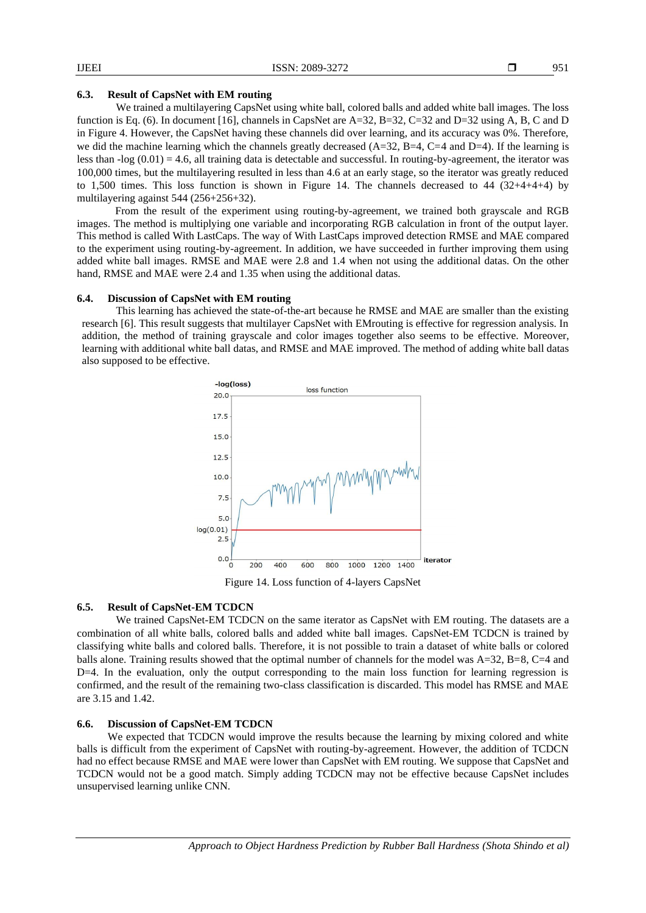#### **6.3. Result of CapsNet with EM routing**

We trained a multilayering CapsNet using white ball, colored balls and added white ball images. The loss function is Eq. (6). In document [16], channels in CapsNet are A=32, B=32, C=32 and D=32 using A, B, C and D in [Figure](#page-2-3) 4. However, the CapsNet having these channels did over learning, and its accuracy was 0%. Therefore, we did the machine learning which the channels greatly decreased  $(A=32, B=4, C=4 \text{ and } D=4)$ . If the learning is less than  $-log (0.01) = 4.6$ , all training data is detectable and successful. In routing-by-agreement, the iterator was 100,000 times, but the multilayering resulted in less than 4.6 at an early stage, so the iterator was greatly reduced to 1,500 times. This loss function is shown in [Figure 14.](#page-8-0) The channels decreased to 44 (32+4+4+4) by multilayering against 544 (256+256+32).

From the result of the experiment using routing-by-agreement, we trained both grayscale and RGB images. The method is multiplying one variable and incorporating RGB calculation in front of the output layer. This method is called With LastCaps. The way of With LastCaps improved detection RMSE and MAE compared to the experiment using routing-by-agreement. In addition, we have succeeded in further improving them using added white ball images. RMSE and MAE were 2.8 and 1.4 when not using the additional datas. On the other hand, RMSE and MAE were 2.4 and 1.35 when using the additional datas.

#### **6.4. Discussion of CapsNet with EM routing**

This learning has achieved the state-of-the-art because he RMSE and MAE are smaller than the existing research [6]. This result suggests that multilayer CapsNet with EMrouting is effective for regression analysis. In addition, the method of training grayscale and color images together also seems to be effective. Moreover, learning with additional white ball datas, and RMSE and MAE improved. The method of adding white ball datas also supposed to be effective.



Figure 14. Loss function of 4-layers CapsNet

#### <span id="page-8-0"></span>**6.5. Result of CapsNet-EM TCDCN**

We trained CapsNet-EM TCDCN on the same iterator as CapsNet with EM routing. The datasets are a combination of all white balls, colored balls and added white ball images. CapsNet-EM TCDCN is trained by classifying white balls and colored balls. Therefore, it is not possible to train a dataset of white balls or colored balls alone. Training results showed that the optimal number of channels for the model was  $A=32$ ,  $B=8$ ,  $C=4$  and  $D=4$ . In the evaluation, only the output corresponding to the main loss function for learning regression is confirmed, and the result of the remaining two-class classification is discarded. This model has RMSE and MAE are 3.15 and 1.42.

#### **6.6. Discussion of CapsNet-EM TCDCN**

We expected that TCDCN would improve the results because the learning by mixing colored and white balls is difficult from the experiment of CapsNet with routing-by-agreement. However, the addition of TCDCN had no effect because RMSE and MAE were lower than CapsNet with EM routing. We suppose that CapsNet and TCDCN would not be a good match. Simply adding TCDCN may not be effective because CapsNet includes unsupervised learning unlike CNN.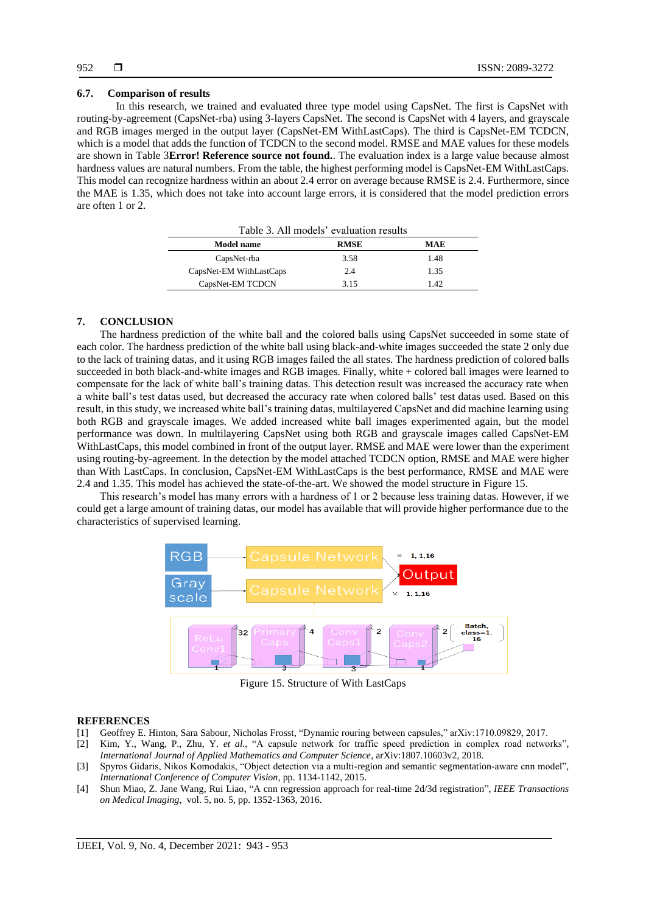# **6.7. Comparison of results**

In this research, we trained and evaluated three type model using CapsNet. The first is CapsNet with routing-by-agreement (CapsNet-rba) using 3-layers CapsNet. The second is CapsNet with 4 layers, and grayscale and RGB images merged in the output layer (CapsNet-EM WithLastCaps). The third is CapsNet-EM TCDCN, which is a model that adds the function of TCDCN to the second model. RMSE and MAE values for these models are shown in [Table 3](#page-9-0)**Error! Reference source not found.**. The evaluation index is a large value because almost hardness values are natural numbers. From the table, the highest performing model is CapsNet-EM WithLastCaps. This model can recognize hardness within an about 2.4 error on average because RMSE is 2.4. Furthermore, since the MAE is 1.35, which does not take into account large errors, it is considered that the model prediction errors are often 1 or 2.

Table 3. All models' evaluation results

| <b>Model name</b>       | <b>RMSE</b> | MAE  |
|-------------------------|-------------|------|
| CapsNet-rba             | 3.58        | 1.48 |
| CapsNet-EM WithLastCaps | 2.4         | 1.35 |
| CapsNet-EM TCDCN        | 3.15        | 1.42 |

# <span id="page-9-0"></span>**7. CONCLUSION**

The hardness prediction of the white ball and the colored balls using CapsNet succeeded in some state of each color. The hardness prediction of the white ball using black-and-white images succeeded the state 2 only due to the lack of training datas, and it using RGB images failed the all states. The hardness prediction of colored balls succeeded in both black-and-white images and RGB images. Finally, white + colored ball images were learned to compensate for the lack of white ball's training datas. This detection result was increased the accuracy rate when a white ball's test datas used, but decreased the accuracy rate when colored balls' test datas used. Based on this result, in this study, we increased white ball's training datas, multilayered CapsNet and did machine learning using both RGB and grayscale images. We added increased white ball images experimented again, but the model performance was down. In multilayering CapsNet using both RGB and grayscale images called CapsNet-EM WithLastCaps, this model combined in front of the output layer. RMSE and MAE were lower than the experiment using routing-by-agreement. In the detection by the model attached TCDCN option, RMSE and MAE were higher than With LastCaps. In conclusion, CapsNet-EM WithLastCaps is the best performance, RMSE and MAE were 2.4 and 1.35. This model has achieved the state-of-the-art. We showed the model structure i[n Figure 15.](#page-9-1)

This research's model has many errors with a hardness of 1 or 2 because less training datas. However, if we could get a large amount of training datas, our model has available that will provide higher performance due to the characteristics of supervised learning.



Figure 15. Structure of With LastCaps

#### <span id="page-9-1"></span>**REFERENCES**

- [1] Geoffrey E. Hinton, Sara Sabour, Nicholas Frosst, "Dynamic rouring between capsules," arXiv:1710.09829, 2017.
- [2] Kim, Y., Wang, P., Zhu, Y. *et al.*, "A capsule network for traffic speed prediction in complex road networks", *International Journal of Applied Mathematics and Computer Science*, arXiv:1807.10603v2, 2018.
- [3] Spyros Gidaris, Nikos Komodakis, "Object detection via a multi-region and semantic segmentation-aware cnn model", *International Conference of Computer Vision*, pp. 1134-1142, 2015.
- [4] Shun Miao, Z. Jane Wang, Rui Liao, "A cnn regression approach for real-time 2d/3d registration", *IEEE Transactions on Medical Imaging*, vol. 5, no. 5, pp. 1352-1363, 2016.